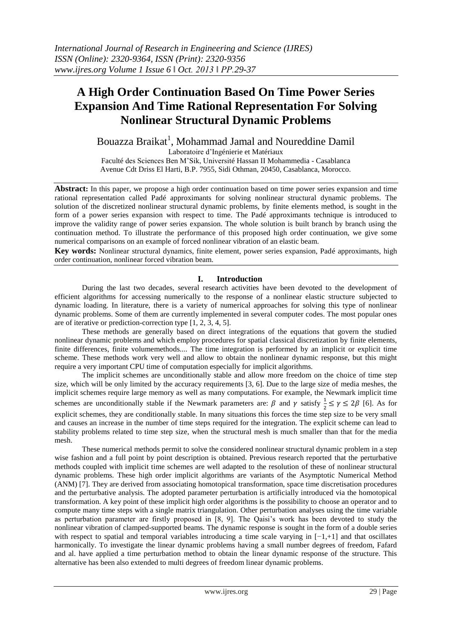# **A High Order Continuation Based On Time Power Series Expansion And Time Rational Representation For Solving Nonlinear Structural Dynamic Problems**

Bouazza Braikat<sup>1</sup>, Mohammad Jamal and Noureddine Damil

Laboratoire d'Ingénierie et Matériaux Faculté des Sciences Ben M'Sik, Université Hassan II Mohammedia - Casablanca Avenue Cdt Driss El Harti, B.P. 7955, Sidi Othman, 20450, Casablanca, Morocco.

**Abstract:** In this paper, we propose a high order continuation based on time power series expansion and time rational representation called Padé approximants for solving nonlinear structural dynamic problems. The solution of the discretized nonlinear structural dynamic problems, by finite elements method, is sought in the form of a power series expansion with respect to time. The Padé approximants technique is introduced to improve the validity range of power series expansion. The whole solution is built branch by branch using the continuation method. To illustrate the performance of this proposed high order continuation, we give some numerical comparisons on an example of forced nonlinear vibration of an elastic beam.

**Key words:** Nonlinear structural dynamics, finite element, power series expansion, Padé approximants, high order continuation, nonlinear forced vibration beam.

# **I. Introduction**

During the last two decades, several research activities have been devoted to the development of efficient algorithms for accessing numerically to the response of a nonlinear elastic structure subjected to dynamic loading. In literature, there is a variety of numerical approaches for solving this type of nonlinear dynamic problems. Some of them are currently implemented in several computer codes. The most popular ones are of iterative or prediction-correction type [1, 2, 3, 4, 5].

These methods are generally based on direct integrations of the equations that govern the studied nonlinear dynamic problems and which employ procedures for spatial classical discretization by finite elements, finite differences, finite volumemethods.... The time integration is performed by an implicit or explicit time scheme. These methods work very well and allow to obtain the nonlinear dynamic response, but this might require a very important CPU time of computation especially for implicit algorithms.

The implicit schemes are unconditionally stable and allow more freedom on the choice of time step size, which will be only limited by the accuracy requirements [3, 6]. Due to the large size of media meshes, the implicit schemes require large memory as well as many computations. For example, the Newmark implicit time schemes are unconditionally stable if the Newmark parameters are:  $\beta$  and  $\gamma$  satisfy  $\frac{1}{2} \le \gamma \le 2\beta$  [6]. As for explicit schemes, they are conditionally stable. In many situations this forces the time step size to be very small and causes an increase in the number of time steps required for the integration. The explicit scheme can lead to stability problems related to time step size, when the structural mesh is much smaller than that for the media mesh.

These numerical methods permit to solve the considered nonlinear structural dynamic problem in a step wise fashion and a full point by point description is obtained. Previous research reported that the perturbative methods coupled with implicit time schemes are well adapted to the resolution of these of nonlinear structural dynamic problems. These high order implicit algorithms are variants of the Asymptotic Numerical Method (ANM) [7]. They are derived from associating homotopical transformation, space time discretisation procedures and the perturbative analysis. The adopted parameter perturbation is artificially introduced via the homotopical transformation. A key point of these implicit high order algorithms is the possibility to choose an operator and to compute many time steps with a single matrix triangulation. Other perturbation analyses using the time variable as perturbation parameter are firstly proposed in [8, 9]. The Qaisi's work has been devoted to study the nonlinear vibration of clamped-supported beams. The dynamic response is sought in the form of a double series with respect to spatial and temporal variables introducing a time scale varying in  $[-1, +1]$  and that oscillates harmonically. To investigate the linear dynamic problems having a small number degrees of freedom, Fafard and al. have applied a time perturbation method to obtain the linear dynamic response of the structure. This alternative has been also extended to multi degrees of freedom linear dynamic problems.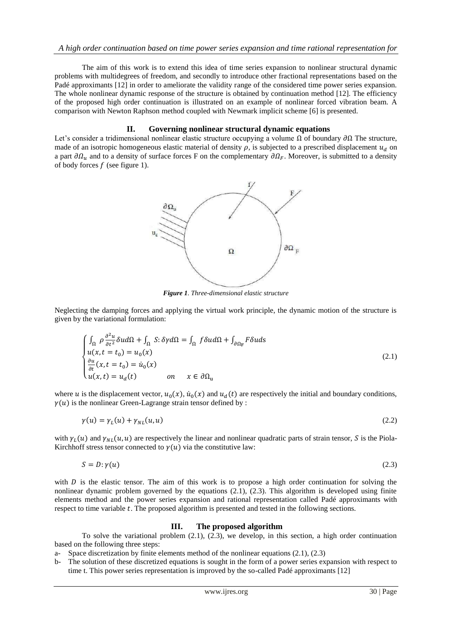The aim of this work is to extend this idea of time series expansion to nonlinear structural dynamic problems with multidegrees of freedom, and secondly to introduce other fractional representations based on the Padé approximants [12] in order to ameliorate the validity range of the considered time power series expansion. The whole nonlinear dynamic response of the structure is obtained by continuation method [12]. The efficiency of the proposed high order continuation is illustrated on an example of nonlinear forced vibration beam. A comparison with Newton Raphson method coupled with Newmark implicit scheme [6] is presented.

# **II. Governing nonlinear structural dynamic equations**

Let's consider a tridimensional nonlinear elastic structure occupying a volume  $\Omega$  of boundary  $\partial\Omega$  The structure, made of an isotropic homogeneous elastic material of density  $\rho$ , is subjected to a prescribed displacement  $u_d$  on a part  $\partial \Omega$ <sub>u</sub> and to a density of surface forces F on the complementary  $\partial \Omega_F$ . Moreover, is submitted to a density of body forces  $f$  (see figure 1).



*Figure 1. Three-dimensional elastic structure*

Neglecting the damping forces and applying the virtual work principle, the dynamic motion of the structure is given by the variational formulation:

$$
\begin{cases}\n\int_{\Omega} \rho \frac{\partial^2 u}{\partial t^2} \delta u d\Omega + \int_{\Omega} S : \delta \gamma d\Omega = \int_{\Omega} f \delta u d\Omega + \int_{\partial \Omega_F} F \delta u ds \\
u(x, t = t_0) = u_0(x) \\
\frac{\partial u}{\partial t} (x, t = t_0) = \dot{u}_0(x) \\
u(x, t) = u_d(t) \qquad on \qquad x \in \partial \Omega_u\n\end{cases}
$$
\n(2.1)

where u is the displacement vector,  $u_0(x)$ ,  $\dot{u}_0(x)$  and  $u_d(t)$  are respectively the initial and boundary conditions,  $\gamma(u)$  is the nonlinear Green-Lagrange strain tensor defined by :

$$
\gamma(u) = \gamma_L(u) + \gamma_{NL}(u, u) \tag{2.2}
$$

with  $\gamma_L(u)$  and  $\gamma_{NL}(u, u)$  are respectively the linear and nonlinear quadratic parts of strain tensor, S is the Piola-Kirchhoff stress tensor connected to  $\gamma(u)$  via the constitutive law:

$$
S = D: \gamma(u) \tag{2.3}
$$

with  $D$  is the elastic tensor. The aim of this work is to propose a high order continuation for solving the nonlinear dynamic problem governed by the equations (2.1), (2.3). This algorithm is developed using finite elements method and the power series expansion and rational representation called Padé approximants with respect to time variable t. The proposed algorithm is presented and tested in the following sections.

# **III. The proposed algorithm**

To solve the variational problem (2.1), (2.3), we develop, in this section, a high order continuation based on the following three steps:

- a- Space discretization by finite elements method of the nonlinear equations  $(2.1)$ ,  $(2.3)$
- b- The solution of these discretized equations is sought in the form of a power series expansion with respect to time t. This power series representation is improved by the so-called Padé approximants [12]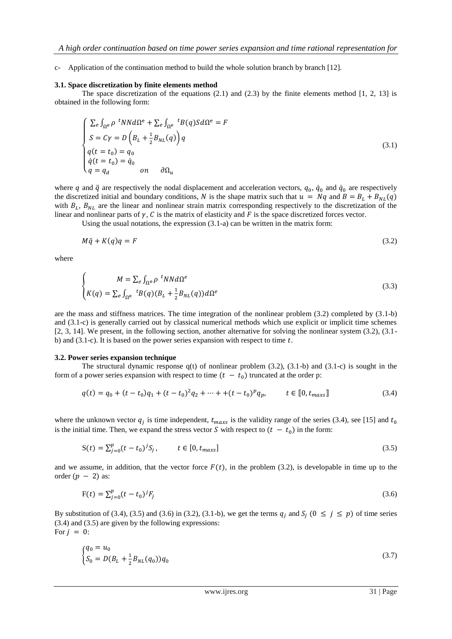c- Application of the continuation method to build the whole solution branch by branch [12].

#### **3.1. Space discretization by finite elements method**

The space discretization of the equations  $(2.1)$  and  $(2.3)$  by the finite elements method  $[1, 2, 13]$  is obtained in the following form:

$$
\begin{cases}\n\sum_{e} \int_{\Omega^{e}} \rho^{t} N N d\Omega^{e} + \sum_{e} \int_{\Omega^{e}}^{t} B(q) S d\Omega^{e} = F \\
S = C\gamma = D \left( B_{L} + \frac{1}{2} B_{NL}(q) \right) q \\
q(t = t_{0}) = q_{0} \\
\dot{q}(t = t_{0}) = \dot{q}_{0} \\
q = q_{d} \qquad on \qquad \partial \Omega_{u}\n\end{cases}
$$
\n(3.1)

where q and  $\ddot{q}$  are respectively the nodal displacement and acceleration vectors,  $q_0$ ,  $\dot{q}_0$  and  $\dot{q}_0$  are respectively the discretized initial and boundary conditions, N is the shape matrix such that  $u = Nq$  and  $B = B<sub>L</sub> + B<sub>NL</sub>(q)$ with  $B_L$ ,  $B_{NL}$  are the linear and nonlinear strain matrix corresponding respectively to the discretization of the linear and nonlinear parts of  $\gamma$ , C is the matrix of elasticity and F is the space discretized forces vector.

Using the usual notations, the expression  $(3.1-a)$  can be written in the matrix form:

$$
M\ddot{q} + K(q)q = F \tag{3.2}
$$

where

$$
\begin{cases}\nM = \sum_{e} \int_{\Omega^e} \rho \, \,^t N N d\Omega^e \\
K(q) = \sum_{e} \int_{\Omega^e} \, \,^t B(q) (B_L + \frac{1}{2} B_{NL}(q)) d\Omega^e\n\end{cases} \tag{3.3}
$$

are the mass and stiffness matrices. The time integration of the nonlinear problem (3.2) completed by (3.1-b) and (3.1-c) is generally carried out by classical numerical methods which use explicit or implicit time schemes [2, 3, 14]. We present, in the following section, another alternative for solving the nonlinear system (3.2), (3.1 b) and  $(3.1-c)$ . It is based on the power series expansion with respect to time t.

#### **3.2. Power series expansion technique**

The structural dynamic response  $q(t)$  of nonlinear problem (3.2), (3.1-b) and (3.1-c) is sought in the form of a power series expansion with respect to time  $(t - t_0)$  truncated at the order p:

$$
q(t) = q_0 + (t - t_0)q_1 + (t - t_0)^2 q_2 + \dots + (t - t_0)^p q_p, \qquad t \in [0, t_{maxs}].
$$
\n(3.4)

where the unknown vector  $q_i$  is time independent,  $t_{max}$  is the validity range of the series (3.4), see [15] and is the initial time. Then, we expand the stress vector S with respect to  $(t - t_0)$  in the form:

$$
S(t) = \sum_{j=0}^{p} (t - t_0)^j S_j, \qquad t \in [0, t_{maxs}]
$$
\n(3.5)

and we assume, in addition, that the vector force  $F(t)$ , in the problem (3.2), is developable in time up to the order  $(p - 2)$  as:

$$
F(t) = \sum_{j=0}^{p} (t - t_0)^j F_j
$$
\n(3.6)

By substitution of (3.4), (3.5) and (3.6) in (3.2), (3.1-b), we get the terms  $q_i$  and  $S_i$  ( $0 \le j \le p$ ) of time series (3.4) and (3.5) are given by the following expressions: For  $j = 0$ :

$$
\begin{cases} q_0 = u_0 \\ S_0 = D(B_L + \frac{1}{2} B_{NL}(q_0)) q_0 \end{cases} \tag{3.7}
$$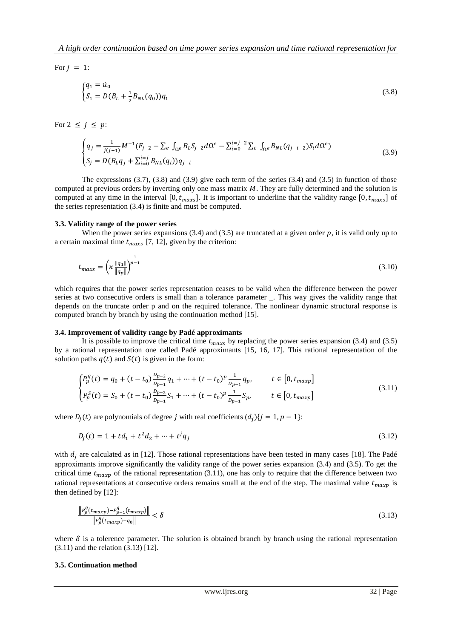For  $j = 1$ :

$$
\begin{cases} q_1 = \dot{u}_0 \\ S_1 = D(B_L + \frac{1}{2}B_{NL}(q_0))q_1 \end{cases} \tag{3.8}
$$

For  $2 \leq j \leq p$ :

$$
\begin{cases}\n q_j = \frac{1}{j(j-1)} M^{-1} (F_{j-2} - \sum_e \int_{\Omega^e} B_L S_{j-2} d\Omega^e - \sum_{i=0}^{i=j-2} \sum_e \int_{\Omega^e} B_{NL} (q_{j-i-2}) S_i d\Omega^e) \\
 S_j = D (B_L q_j + \sum_{i=0}^{i=j} B_{NL} (q_i)) q_{j-i}\n\end{cases} \tag{3.9}
$$

The expressions  $(3.7)$ ,  $(3.8)$  and  $(3.9)$  give each term of the series  $(3.4)$  and  $(3.5)$  in function of those computed at previous orders by inverting only one mass matrix  $M$ . They are fully determined and the solution is computed at any time in the interval [0,  $t_{max}$ ]. It is important to underline that the validity range [0,  $t_{max}$ ] of the series representation (3.4) is finite and must be computed.

#### **3.3. Validity range of the power series**

When the power series expansions (3.4) and (3.5) are truncated at a given order  $p$ , it is valid only up to a certain maximal time  $t_{max}$  [7, 12], given by the criterion:

$$
t_{maxs} = \left(\kappa \frac{\|q_1\|}{\|q_p\|}\right)^{\frac{1}{p-1}}
$$
(3.10)

which requires that the power series representation ceases to be valid when the difference between the power series at two consecutive orders is small than a tolerance parameter \_. This way gives the validity range that depends on the truncate order p and on the required tolerance. The nonlinear dynamic structural response is computed branch by branch by using the continuation method [15].

#### **3.4. Improvement of validity range by Padé approximants**

It is possible to improve the critical time  $t_{maxs}$  by replacing the power series expansion (3.4) and (3.5) by a rational representation one called Padé approximants [15, 16, 17]. This rational representation of the solution paths  $q(t)$  and  $S(t)$  is given in the form:

$$
\begin{cases}\nP_p^q(t) = q_0 + (t - t_0) \frac{p_{p-2}}{p_{p-1}} q_1 + \dots + (t - t_0)^p \frac{1}{p_{p-1}} q_p, & t \in [0, t_{maxp}] \\
P_p^S(t) = S_0 + (t - t_0) \frac{p_{p-2}}{p_{p-1}} S_1 + \dots + (t - t_0)^p \frac{1}{p_{p-1}} S_p, & t \in [0, t_{maxp}]\n\end{cases}
$$
\n(3.11)

where  $D_i(t)$  are polynomials of degree j with real coefficients  $(d_i)$  {j = 1, p - 1}:

$$
D_j(t) = 1 + td_1 + t^2d_2 + \dots + t^jq_j
$$
\n(3.12)

with  $d_i$  are calculated as in [12]. Those rational representations have been tested in many cases [18]. The Padé approximants improve significantly the validity range of the power series expansion (3.4) and (3.5). To get the critical time  $t_{maxp}$  of the rational representation (3.11), one has only to require that the difference between two rational representations at consecutive orders remains small at the end of the step. The maximal value  $t_{maxp}$  is then defined by [12]:

$$
\frac{\left\|P_p^q(t_{maxp}) - P_{p-1}^q(t_{maxp})\right\|}{\left\|P_p^q(t_{maxp}) - q_0\right\|} < \delta \tag{3.13}
$$

where  $\delta$  is a tolerence parameter. The solution is obtained branch by branch using the rational representation (3.11) and the relation (3.13) [12].

#### **3.5. Continuation method**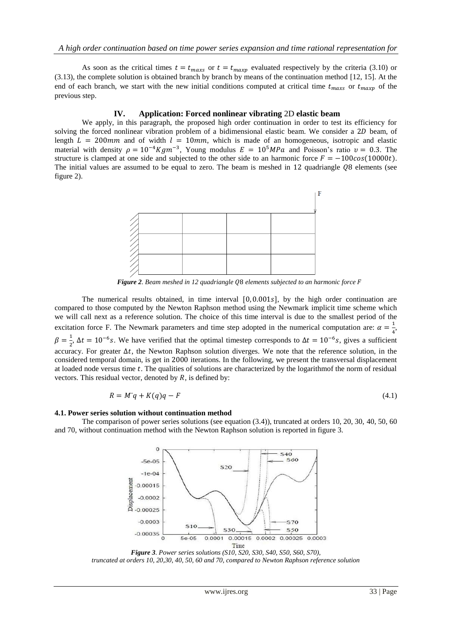As soon as the critical times  $t = t_{max}$  or  $t = t_{max}$  evaluated respectively by the criteria (3.10) or (3.13), the complete solution is obtained branch by branch by means of the continuation method [12, 15]. At the end of each branch, we start with the new initial conditions computed at critical time  $t_{max}$  or  $t_{max}$  of the previous step.

# **IV. Application: Forced nonlinear vibrating** 2D **elastic beam**

We apply, in this paragraph, the proposed high order continuation in order to test its efficiency for solving the forced nonlinear vibration problem of a bidimensional elastic beam. We consider a  $2D$  beam, of length  $L = 200$  mm and of width  $l = 10$  mm, which is made of an homogeneous, isotropic and elastic material with density  $\rho = 10^{-4} K g m^{-3}$ , Young modulus  $E = 10^{5} MPa$  and Poisson's ratio  $v = 0.3$ . The structure is clamped at one side and subjected to the other side to an harmonic force  $F = -100\cos(10000t)$ . The initial values are assumed to be equal to zero. The beam is meshed in  $12$  quadriangle  $Q8$  elements (see figure 2).



*Figure 2. Beam meshed in 12 quadriangle Q8 elements subjected to an harmonic force F* 

The numerical results obtained, in time interval  $[0, 0.001s]$ , by the high order continuation are compared to those computed by the Newton Raphson method using the Newmark implicit time scheme which we will call next as a reference solution. The choice of this time interval is due to the smallest period of the excitation force F. The Newmark parameters and time step adopted in the numerical computation are:  $\alpha = \frac{1}{2}$  $\frac{1}{4}$ ,  $\beta = \frac{1}{2}$  $\frac{1}{2}$ ,  $\Delta t = 10^{-6}$ s. We have verified that the optimal timestep corresponds to  $\Delta t = 10^{-6}$ s, gives a sufficient accuracy. For greater  $\Delta t$ , the Newton Raphson solution diverges. We note that the reference solution, in the considered temporal domain, is get in 2000 iterations. In the following, we present the transversal displacement at loaded node versus time t. The qualities of solutions are characterized by the logarithmof the norm of residual vectors. This residual vector, denoted by  $R$ , is defined by:

$$
R = M^{\circ}q + K(q)q - F \tag{4.1}
$$

# **4.1. Power series solution without continuation method**

The comparison of power series solutions (see equation (3.4)), truncated at orders 10, 20, 30, 40, 50, 60 and 70, without continuation method with the Newton Raphson solution is reported in figure 3.



*Figure 3. Power series solutions (S10, S20, S30, S40, S50, S60, S70), truncated at orders 10, 20,30, 40, 50, 60 and 70, compared to Newton Raphson reference solution*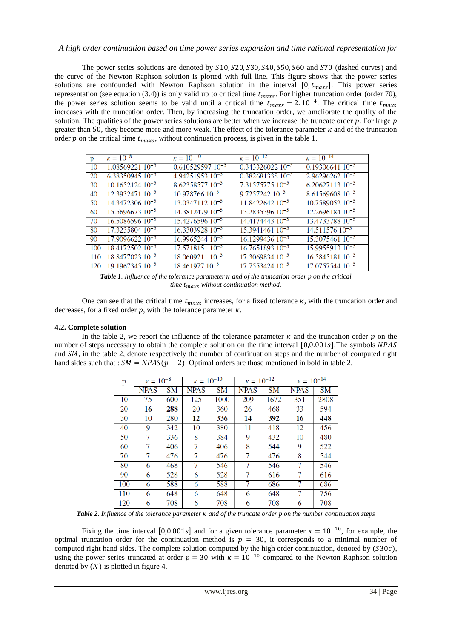The power series solutions are denoted by  $S10$ ,  $S20$ ,  $S30$ ,  $S40$ ,  $S50$ ,  $S60$  and  $S70$  (dashed curves) and the curve of the Newton Raphson solution is plotted with full line. This figure shows that the power series solutions are confounded with Newton Raphson solution in the interval  $[0, t_{maxs}]$ . This power series representation (see equation (3.4)) is only valid up to critical time  $t_{maxs}$ . For higher truncation order (order 70), the power series solution seems to be valid until a critical time  $t_{max} = 2.10^{-4}$ . The critical time increases with the truncation order. Then, by increasing the truncation order, we ameliorate the quality of the solution. The qualities of the power series solutions are better when we increase the truncate order  $p$ . For large  $p$ greater than 50, they become more and more weak. The effect of the tolerance parameter  $\kappa$  and of the truncation order p on the critical time  $t_{max}$ , without continuation process, is given in the table 1.

| p   | $\kappa = 10^{-8}$            | $\kappa = \sqrt{10^{-10}}$ | $\kappa = 10^{-12}$            | $\kappa = 10^{-14}$         |
|-----|-------------------------------|----------------------------|--------------------------------|-----------------------------|
| 10  | $1.0856922110^{-5}$           | $0.61052959710^{-5}$       | $0.343326022$ 10 <sup>-5</sup> | $0.1930664110^{-5}$         |
| 20  | $6.38350945$ 10 <sup>-5</sup> | $4.9425195310^{-5}$        | $0.38268133810^{-5}$           | $2.9629626210^{-5}$         |
| 30  | $10.165212410^{-5}$           | $8.6235857710^{-5}$        | $7.3157577510^{-5}$            | $6.2062711310^{-5}$         |
| 40  | $12.393247110^{-5}$           | $10.97876610^{-5}$         | $9.7257242$ $10^{-5}$          | $8.6156960810^{-5}$         |
| 50  | $14.3472306$ $10^{-5}$        | $13.0347112$ $10^{-5}$     | $11.8422642$ $10^{-5}$         | $10.758905210^{-5}$         |
| 60  | $15.569667310^{-5}$           | $14.381247910^{-5}$        | $13.2835396\ 10^{-5}$          | $12.269618410^{-5}$         |
| 70  | $16.508659610^{-5}$           | $15.427659610^{-5}$        | $14.4174443$ $10^{-5}$         | 13.4733788 10 <sup>-5</sup> |
| 80  | $17.3235804$ $10^{-5}$        | $16.3303928$ $10^{-5}$     | $15.394146110^{-5}$            | $14.51157610^{-5}$          |
| 90  | $17.9096622$ $10^{-5}$        | $16.9965244$ $10^{-5}$     | $16.1299436\ 10^{-5}$          | $15.307546110^{-5}$         |
| 100 | $18.417250210^{-5}$           | $17.571815110^{-5}$        | $16.765189310^{-5}$            | $15.995591310^{-5}$         |
| 110 | $18.8477023$ $10^{-5}$        | $18.0609211$ $10^{-5}$     | $17.306983410^{-5}$            | $16.584518110^{-5}$         |
| 120 | $19.1967345\ 10^{-5}$         | $18.461977$ $10^{-5}$      | $17.7553424$ $10^{-5}$         | $17.0757544$ $10^{-5}$      |

*Table 1. Influence of the tolerance parameter K and of the truncation order p on the critical time*  $t_{max}$  *without continuation method.* 

One can see that the critical time  $t_{maxs}$  increases, for a fixed tolerance  $\kappa$ , with the truncation order and decreases, for a fixed order  $p$ , with the tolerance parameter  $\kappa$ .

# **4.2. Complete solution**

In the table 2, we report the influence of the tolerance parameter  $\kappa$  and the truncation order  $p$  on the number of steps necessary to obtain the complete solution on the time interval  $[0,0.001s]$ . The symbols NPAS and  $SM$ , in the table 2, denote respectively the number of continuation steps and the number of computed right hand sides such that :  $SM = NPAS(p - 2)$ . Optimal orders are those mentioned in bold in table 2.

| p   | $\kappa = 10^{-8}$ |     | $\kappa = 10^{-10}$ |           | $\kappa = 10^{-12}$ |           | $\kappa = 10^{-14}$ |           |
|-----|--------------------|-----|---------------------|-----------|---------------------|-----------|---------------------|-----------|
|     | <b>NPAS</b>        | SΜ  | <b>NPAS</b>         | <b>SM</b> | <b>NPAS</b>         | <b>SM</b> | <b>NPAS</b>         | <b>SM</b> |
| 10  | 75                 | 600 | 125                 | 1000      | 209                 | 1672      | 351                 | 2808      |
| 20  | 16                 | 288 | 20                  | 360       | 26                  | 468       | 33                  | 594       |
| 30  | 10                 | 280 | 12                  | 336       | 14                  | 392       | 16                  | 448       |
| 40  | 9                  | 342 | 10                  | 380       | 11                  | 418       | 12                  | 456       |
| 50  | 7                  | 336 | 8                   | 384       | 9                   | 432       | 10                  | 480       |
| 60  | 7                  | 406 | 7                   | 406       | 8                   | 544       | 9                   | 522       |
| 70  |                    | 476 | 7                   | 476       | 7                   | 476       | 8                   | 544       |
| 80  | 6                  | 468 | 7                   | 546       | 7                   | 546       | 7                   | 546       |
| 90  | 6                  | 528 | 6                   | 528       | 7                   | 616       | 7                   | 616       |
| 100 | 6                  | 588 | 6                   | 588       | 7                   | 686       | 7                   | 686       |
| 110 | 6                  | 648 | 6                   | 648       | 6                   | 648       | 7                   | 756       |
| 120 | 6                  | 708 | 6                   | 708       | 6                   | 708       | 6                   | 708       |

*Table 2. Influence of the tolerance parameter*  $\kappa$  *and of the truncate order p on the number continuation steps* 

Fixing the time interval [0,0.001s] and for a given tolerance parameter  $\kappa = 10^{-10}$ , for example, the optimal truncation order for the continuation method is  $p = 30$ , it corresponds to a minimal number of computed right hand sides. The complete solution computed by the high order continuation, denoted by  $(S30c)$ , using the power series truncated at order  $p = 30$  with  $\kappa = 10^{-10}$  compared to the Newton Raphson solution denoted by  $(N)$  is plotted in figure 4.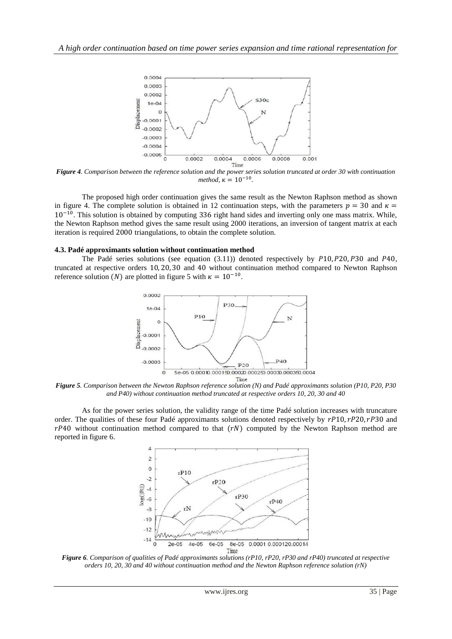

*Figure 4. Comparison between the reference solution and the power series solution truncated at order 30 with continuation method,*  $\kappa = 10^{-10}$ .

The proposed high order continuation gives the same result as the Newton Raphson method as shown in figure 4. The complete solution is obtained in 12 continuation steps, with the parameters  $p = 30$  and  $\kappa =$  $10^{-10}$ . This solution is obtained by computing 336 right hand sides and inverting only one mass matrix. While, the Newton Raphson method gives the same result using 2000 iterations, an inversion of tangent matrix at each iteration is required 2000 triangulations, to obtain the complete solution.

#### **4.3. Padé approximants solution without continuation method**

The Padé series solutions (see equation  $(3.11)$ ) denoted respectively by  $P10, P20, P30$  and  $P40$ , truncated at respective orders 10, 20, 30 and 40 without continuation method compared to Newton Raphson reference solution (*N*) are plotted in figure 5 with  $\kappa = 10^{-10}$ .



*Figure 5. Comparison between the Newton Raphson reference solution (N) and Padé approximants solution (P10, P20, P30 and P40) without continuation method truncated at respective orders 10, 20, 30 and 40*

As for the power series solution, the validity range of the time Padé solution increases with truncature order. The qualities of these four Padé approximants solutions denoted respectively by  $rP10, rP20, rP30$  and  $rP40$  without continuation method compared to that  $(rN)$  computed by the Newton Raphson method are reported in figure 6.



*Figure 6. Comparison of qualities of Padé approximants solutions (rP10, rP20, rP30 and rP40) truncated at respective orders 10, 20, 30 and 40 without continuation method and the Newton Raphson reference solution (rN)*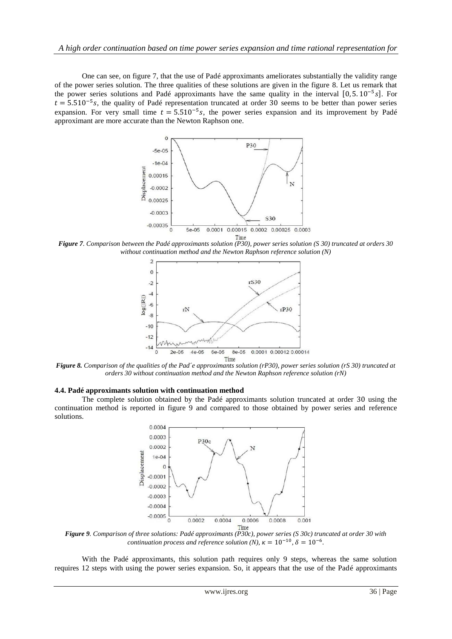One can see, on figure 7, that the use of Padé approximants ameliorates substantially the validity range of the power series solution. The three qualities of these solutions are given in the figure 8. Let us remark that the power series solutions and Padé approximants have the same quality in the interval  $[0, 5.10^{-5}$  s.  $t = 5.510^{-5}$  s, the quality of Padé representation truncated at order 30 seems to be better than power series expansion. For very small time  $t = 5.510^{-5} s$ , the power series expansion and its improvement by Padé approximant are more accurate than the Newton Raphson one.



*Figure 7. Comparison between the Padé approximants solution (P30), power series solution (S 30) truncated at orders 30 without continuation method and the Newton Raphson reference solution (N)*



*Figure 8. Comparison of the qualities of the Pad´e approximants solution (rP30), power series solution (rS 30) truncated at orders 30 without continuation method and the Newton Raphson reference solution (rN)*

#### **4.4. Padé approximants solution with continuation method**

The complete solution obtained by the Padé approximants solution truncated at order 30 using the continuation method is reported in figure 9 and compared to those obtained by power series and reference solutions.



*Figure 9. Comparison of three solutions: Padé approximants (P30c), power series (S 30c) truncated at order 30 with continuation process and reference solution (N),*  $\kappa = 10^{-10}$ ,  $\delta = 10^{-6}$ .

With the Padé approximants, this solution path requires only 9 steps, whereas the same solution requires 12 steps with using the power series expansion. So, it appears that the use of the Padé approximants